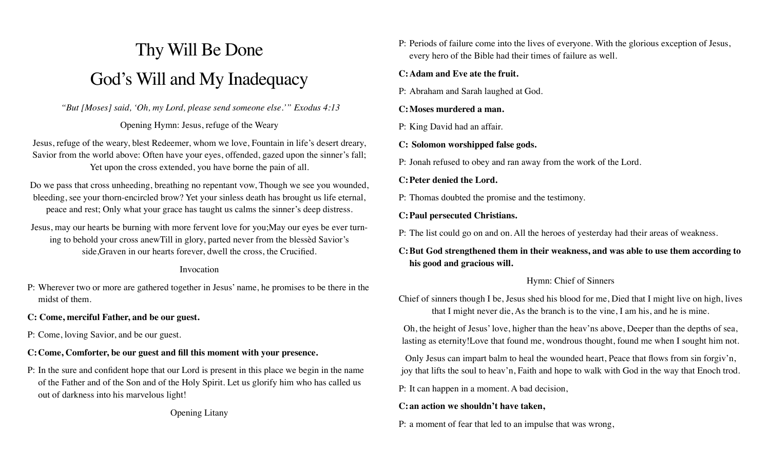# Thy Will Be Done God's Will and My Inadequacy

 *"But [Moses] said, 'Oh, my Lord, please send someone else.'" Exodus 4:13*

Opening Hymn: Jesus, refuge of the Weary

Jesus, refuge of the weary, blest Redeemer, whom we love, Fountain in life's desert dreary, Savior from the world above: Often have your eyes, offended, gazed upon the sinner's fall; Yet upon the cross extended, you have borne the pain of all.

Do we pass that cross unheeding, breathing no repentant vow, Though we see you wounded, bleeding, see your thorn-encircled brow? Yet your sinless death has brought us life eternal, peace and rest; Only what your grace has taught us calms the sinner's deep distress.

Jesus, may our hearts be burning with more fervent love for you;May our eyes be ever turning to behold your cross anewTill in glory, parted never from the blessèd Savior's side,Graven in our hearts forever, dwell the cross, the Crucified.

## Invocation

- P: Wherever two or more are gathered together in Jesus' name, he promises to be there in the midst of them.
- **C: Come, merciful Father, and be our guest.**
- P: Come, loving Savior, and be our guest.

# **C:Come, Comforter, be our guest and fill this moment with your presence.**

P: In the sure and confident hope that our Lord is present in this place we begin in the name of the Father and of the Son and of the Holy Spirit. Let us glorify him who has called us out of darkness into his marvelous light!

Opening Litany

P: Periods of failure come into the lives of everyone. With the glorious exception of Jesus, every hero of the Bible had their times of failure as well.

### **C:Adam and Eve ate the fruit.**

P: Abraham and Sarah laughed at God.

# **C:Moses murdered a man.**

P: King David had an affair.

# **C: Solomon worshipped false gods.**

P: Jonah refused to obey and ran away from the work of the Lord.

# **C:Peter denied the Lord.**

P: Thomas doubted the promise and the testimony.

# **C:Paul persecuted Christians.**

P: The list could go on and on. All the heroes of yesterday had their areas of weakness.

# **C:But God strengthened them in their weakness, and was able to use them according to his good and gracious will.**

# Hymn: Chief of Sinners

Chief of sinners though I be, Jesus shed his blood for me, Died that I might live on high, lives that I might never die, As the branch is to the vine, I am his, and he is mine.

Oh, the height of Jesus' love, higher than the heav'ns above, Deeper than the depths of sea, lasting as eternity!Love that found me, wondrous thought, found me when I sought him not.

Only Jesus can impart balm to heal the wounded heart, Peace that flows from sin forgiv'n, joy that lifts the soul to heav'n, Faith and hope to walk with God in the way that Enoch trod.

P: It can happen in a moment. A bad decision,

# **C:an action we shouldn't have taken,**

P: a moment of fear that led to an impulse that was wrong,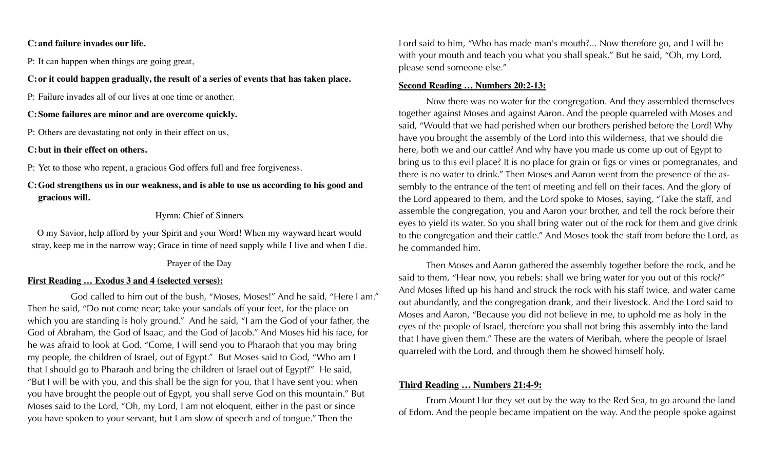#### **C:and failure invades our life.**

P: It can happen when things are going great,

#### **C:or it could happen gradually, the result of a series of events that has taken place.**

P: Failure invades all of our lives at one time or another.

#### **C:Some failures are minor and are overcome quickly.**

P: Others are devastating not only in their effect on us,

#### **C:but in their effect on others.**

P: Yet to those who repent, a gracious God offers full and free forgiveness.

## **C:God strengthens us in our weakness, and is able to use us according to his good and gracious will.**

# Hymn: Chief of Sinners

O my Savior, help afford by your Spirit and your Word! When my wayward heart would stray, keep me in the narrow way; Grace in time of need supply while I live and when I die.

## Prayer of the Day

## **First Reading … Exodus 3 and 4 (selected verses):**

God called to him out of the bush, "Moses, Moses!" And he said, "Here I am." Then he said, "Do not come near; take your sandals off your feet, for the place on which you are standing is holy ground." And he said, "I am the God of your father, the God of Abraham, the God of Isaac, and the God of Jacob." And Moses hid his face, for he was afraid to look at God. "Come, I will send you to Pharaoh that you may bring my people, the children of Israel, out of Egypt." But Moses said to God, "Who am I that I should go to Pharaoh and bring the children of Israel out of Egypt?" He said, "But I will be with you, and this shall be the sign for you, that I have sent you: when you have brought the people out of Egypt, you shall serve God on this mountain." But Moses said to the Lord, "Oh, my Lord, I am not eloquent, either in the past or since you have spoken to your servant, but I am slow of speech and of tongue." Then the

Lord said to him, "Who has made man's mouth?... Now therefore go, and I will be with your mouth and teach you what you shall speak." But he said, "Oh, my Lord, please send someone else."

#### **Second Reading … Numbers 20:2-13:**

Now there was no water for the congregation. And they assembled themselves together against Moses and against Aaron. And the people quarreled with Moses and said, "Would that we had perished when our brothers perished before the Lord! Why have you brought the assembly of the Lord into this wilderness, that we should die here, both we and our cattle? And why have you made us come up out of Egypt to bring us to this evil place? It is no place for grain or figs or vines or pomegranates, and there is no water to drink." Then Moses and Aaron went from the presence of the assembly to the entrance of the tent of meeting and fell on their faces. And the glory of the Lord appeared to them, and the Lord spoke to Moses, saying, "Take the staff, and assemble the congregation, you and Aaron your brother, and tell the rock before their eyes to yield its water. So you shall bring water out of the rock for them and give drink to the congregation and their cattle." And Moses took the staff from before the Lord, as he commanded him.

 Then Moses and Aaron gathered the assembly together before the rock, and he said to them, "Hear now, you rebels: shall we bring water for you out of this rock?" And Moses lifted up his hand and struck the rock with his staff twice, and water came out abundantly, and the congregation drank, and their livestock. And the Lord said to Moses and Aaron, "Because you did not believe in me, to uphold me as holy in the eyes of the people of Israel, therefore you shall not bring this assembly into the land that I have given them." These are the waters of Meribah, where the people of Israel quarreled with the Lord, and through them he showed himself holy.

#### **Third Reading … Numbers 21:4-9:**

From Mount Hor they set out by the way to the Red Sea, to go around the land of Edom. And the people became impatient on the way. And the people spoke against